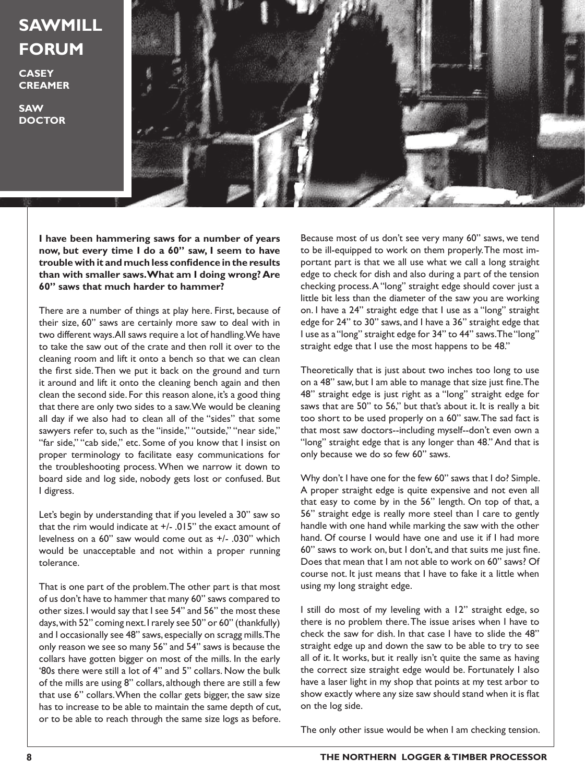## **SAWMILL FORUM**

**CASEY CREAMER**

**SAW DOCTOR**



**I have been hammering saws for a number of years now, but every time I do a 60" saw, I seem to have trouble with it and much less confidence in the results than with smaller saws. What am I doing wrong? Are 60" saws that much harder to hammer?**

There are a number of things at play here. First, because of their size, 60" saws are certainly more saw to deal with in two different ways. All saws require a lot of handling. We have to take the saw out of the crate and then roll it over to the cleaning room and lift it onto a bench so that we can clean the first side. Then we put it back on the ground and turn it around and lift it onto the cleaning bench again and then clean the second side. For this reason alone, it's a good thing that there are only two sides to a saw. We would be cleaning all day if we also had to clean all of the "sides" that some sawyers refer to, such as the "inside," "outside," "near side," "far side," "cab side," etc. Some of you know that I insist on proper terminology to facilitate easy communications for the troubleshooting process. When we narrow it down to board side and log side, nobody gets lost or confused. But I digress.

Let's begin by understanding that if you leveled a 30" saw so that the rim would indicate at  $+/-$  .015" the exact amount of levelness on a 60" saw would come out as +/- .030" which would be unacceptable and not within a proper running tolerance.

That is one part of the problem. The other part is that most of us don't have to hammer that many 60" saws compared to other sizes. I would say that I see 54" and 56" the most these days, with 52" coming next. I rarely see 50" or 60" (thankfully) and I occasionally see 48" saws, especially on scragg mills. The only reason we see so many 56" and 54" saws is because the collars have gotten bigger on most of the mills. In the early '80s there were still a lot of 4" and 5" collars. Now the bulk of the mills are using 8" collars, although there are still a few that use 6" collars. When the collar gets bigger, the saw size has to increase to be able to maintain the same depth of cut, or to be able to reach through the same size logs as before. Because most of us don't see very many 60" saws, we tend to be ill-equipped to work on them properly. The most important part is that we all use what we call a long straight edge to check for dish and also during a part of the tension checking process. A "long" straight edge should cover just a little bit less than the diameter of the saw you are working on. I have a 24" straight edge that I use as a "long" straight edge for 24" to 30" saws, and I have a 36" straight edge that I use as a "long" straight edge for 34" to 44" saws. The "long" straight edge that I use the most happens to be 48."

Theoretically that is just about two inches too long to use on a 48" saw, but I am able to manage that size just fine. The 48" straight edge is just right as a "long" straight edge for saws that are 50" to 56," but that's about it. It is really a bit too short to be used properly on a 60" saw. The sad fact is that most saw doctors--including myself--don't even own a "long" straight edge that is any longer than 48." And that is only because we do so few 60" saws.

Why don't I have one for the few 60" saws that I do? Simple. A proper straight edge is quite expensive and not even all that easy to come by in the 56" length. On top of that, a 56" straight edge is really more steel than I care to gently handle with one hand while marking the saw with the other hand. Of course I would have one and use it if I had more 60" saws to work on, but I don't, and that suits me just fine. Does that mean that I am not able to work on 60" saws? Of course not. It just means that I have to fake it a little when using my long straight edge.

I still do most of my leveling with a 12" straight edge, so there is no problem there. The issue arises when I have to check the saw for dish. In that case I have to slide the 48" straight edge up and down the saw to be able to try to see all of it. It works, but it really isn't quite the same as having the correct size straight edge would be. Fortunately I also have a laser light in my shop that points at my test arbor to show exactly where any size saw should stand when it is flat on the log side.

The only other issue would be when I am checking tension.